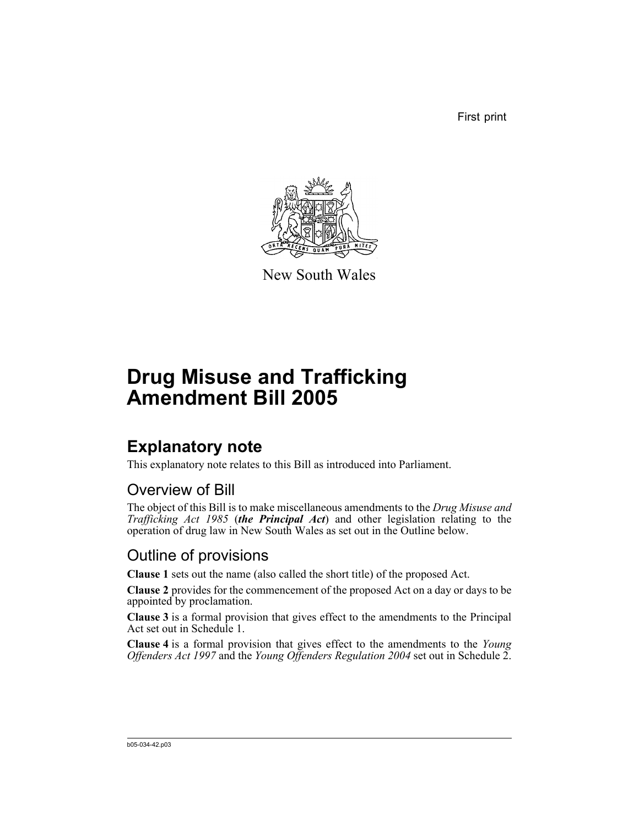First print



New South Wales

# **Drug Misuse and Trafficking Amendment Bill 2005**

## **Explanatory note**

This explanatory note relates to this Bill as introduced into Parliament.

### Overview of Bill

The object of this Bill is to make miscellaneous amendments to the *Drug Misuse and Trafficking Act 1985* (*the Principal Act*) and other legislation relating to the operation of drug law in New South Wales as set out in the Outline below.

### Outline of provisions

**Clause 1** sets out the name (also called the short title) of the proposed Act.

**Clause 2** provides for the commencement of the proposed Act on a day or days to be appointed by proclamation.

**Clause 3** is a formal provision that gives effect to the amendments to the Principal Act set out in Schedule 1.

**Clause 4** is a formal provision that gives effect to the amendments to the *Young Offenders Act 1997* and the *Young Offenders Regulation 2004* set out in Schedule 2.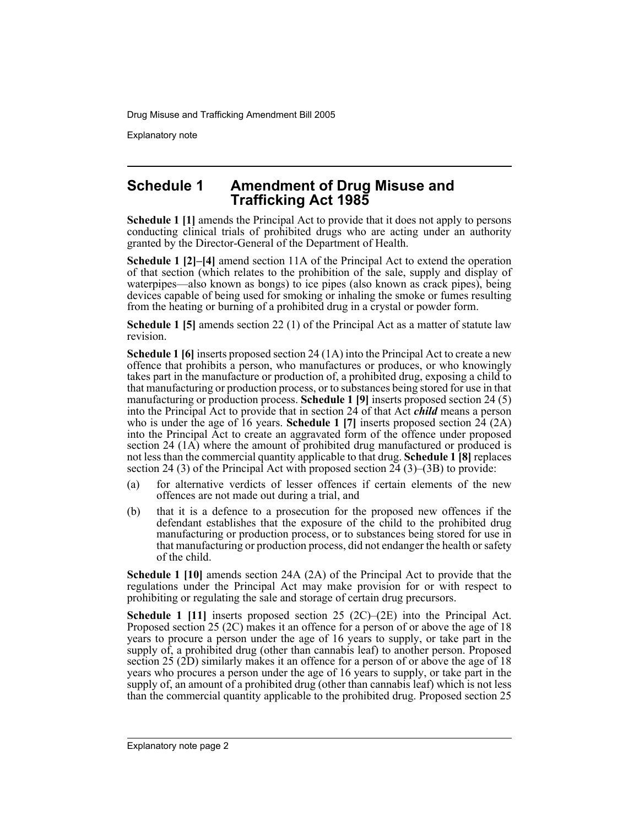Explanatory note

#### **Schedule 1 Amendment of Drug Misuse and Trafficking Act 1985**

**Schedule 1 [1]** amends the Principal Act to provide that it does not apply to persons conducting clinical trials of prohibited drugs who are acting under an authority granted by the Director-General of the Department of Health.

**Schedule 1 [2]–[4]** amend section 11A of the Principal Act to extend the operation of that section (which relates to the prohibition of the sale, supply and display of waterpipes—also known as bongs) to ice pipes (also known as crack pipes), being devices capable of being used for smoking or inhaling the smoke or fumes resulting from the heating or burning of a prohibited drug in a crystal or powder form.

**Schedule 1 [5]** amends section 22 (1) of the Principal Act as a matter of statute law revision.

**Schedule 1 [6]** inserts proposed section 24 (1A) into the Principal Act to create a new offence that prohibits a person, who manufactures or produces, or who knowingly takes part in the manufacture or production of, a prohibited drug, exposing a child to that manufacturing or production process, or to substances being stored for use in that manufacturing or production process. **Schedule 1 [9]** inserts proposed section 24 (5) into the Principal Act to provide that in section 24 of that Act *child* means a person who is under the age of 16 years. **Schedule 1 [7]** inserts proposed section  $24 (2A)$ into the Principal Act to create an aggravated form of the offence under proposed section 24  $(1)$  where the amount of prohibited drug manufactured or produced is not less than the commercial quantity applicable to that drug. **Schedule 1 [8]** replaces section 24 (3) of the Principal Act with proposed section 24 (3)–(3B) to provide:

- (a) for alternative verdicts of lesser offences if certain elements of the new offences are not made out during a trial, and
- (b) that it is a defence to a prosecution for the proposed new offences if the defendant establishes that the exposure of the child to the prohibited drug manufacturing or production process, or to substances being stored for use in that manufacturing or production process, did not endanger the health or safety of the child.

**Schedule 1 [10]** amends section 24A (2A) of the Principal Act to provide that the regulations under the Principal Act may make provision for or with respect to prohibiting or regulating the sale and storage of certain drug precursors.

**Schedule 1 [11]** inserts proposed section 25 (2C)–(2E) into the Principal Act. Proposed section 25 (2C) makes it an offence for a person of or above the age of 18 years to procure a person under the age of 16 years to supply, or take part in the supply of, a prohibited drug (other than cannabis leaf) to another person. Proposed section 25 (2D) similarly makes it an offence for a person of or above the age of 18 years who procures a person under the age of 16 years to supply, or take part in the supply of, an amount of a prohibited drug (other than cannabis leaf) which is not less than the commercial quantity applicable to the prohibited drug. Proposed section 25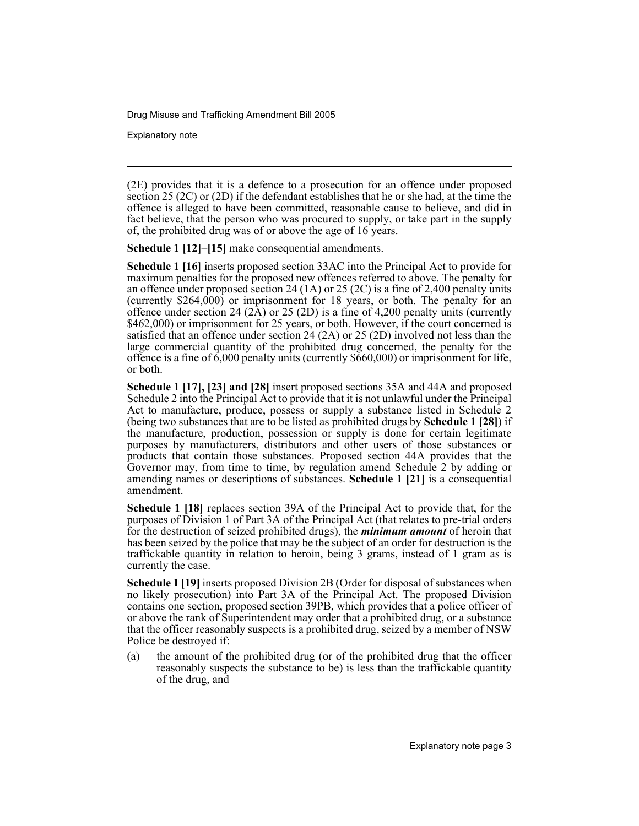Explanatory note

(2E) provides that it is a defence to a prosecution for an offence under proposed section 25 (2C) or (2D) if the defendant establishes that he or she had, at the time the offence is alleged to have been committed, reasonable cause to believe, and did in fact believe, that the person who was procured to supply, or take part in the supply of, the prohibited drug was of or above the age of 16 years.

**Schedule 1 [12]–[15]** make consequential amendments.

**Schedule 1 [16]** inserts proposed section 33AC into the Principal Act to provide for maximum penalties for the proposed new offences referred to above. The penalty for an offence under proposed section 24 (1A) or 25 (2C) is a fine of 2,400 penalty units (currently  $$264,000$ ) or imprisonment for 18 years, or both. The penalty for an offence under section 24 (2A) or 25 (2D) is a fine of 4,200 penalty units (currently \$462,000) or imprisonment for 25 years, or both. However, if the court concerned is satisfied that an offence under section 24 (2A) or 25 (2D) involved not less than the large commercial quantity of the prohibited drug concerned, the penalty for the offence is a fine of  $6,000$  penalty units (currently  $$660,000$ ) or imprisonment for life, or both.

**Schedule 1 [17], [23] and [28]** insert proposed sections 35A and 44A and proposed Schedule 2 into the Principal Act to provide that it is not unlawful under the Principal Act to manufacture, produce, possess or supply a substance listed in Schedule 2 (being two substances that are to be listed as prohibited drugs by **Schedule 1 [28]**) if the manufacture, production, possession or supply is done for certain legitimate purposes by manufacturers, distributors and other users of those substances or products that contain those substances. Proposed section 44A provides that the Governor may, from time to time, by regulation amend Schedule 2 by adding or amending names or descriptions of substances. **Schedule 1 [21]** is a consequential amendment.

**Schedule 1 [18]** replaces section 39A of the Principal Act to provide that, for the purposes of Division 1 of Part 3A of the Principal Act (that relates to pre-trial orders for the destruction of seized prohibited drugs), the *minimum amount* of heroin that has been seized by the police that may be the subject of an order for destruction is the traffickable quantity in relation to heroin, being 3 grams, instead of 1 gram as is currently the case.

**Schedule 1 [19]** inserts proposed Division 2B (Order for disposal of substances when no likely prosecution) into Part 3A of the Principal Act. The proposed Division contains one section, proposed section 39PB, which provides that a police officer of or above the rank of Superintendent may order that a prohibited drug, or a substance that the officer reasonably suspects is a prohibited drug, seized by a member of NSW Police be destroyed if:

(a) the amount of the prohibited drug (or of the prohibited drug that the officer reasonably suspects the substance to be) is less than the traffickable quantity of the drug, and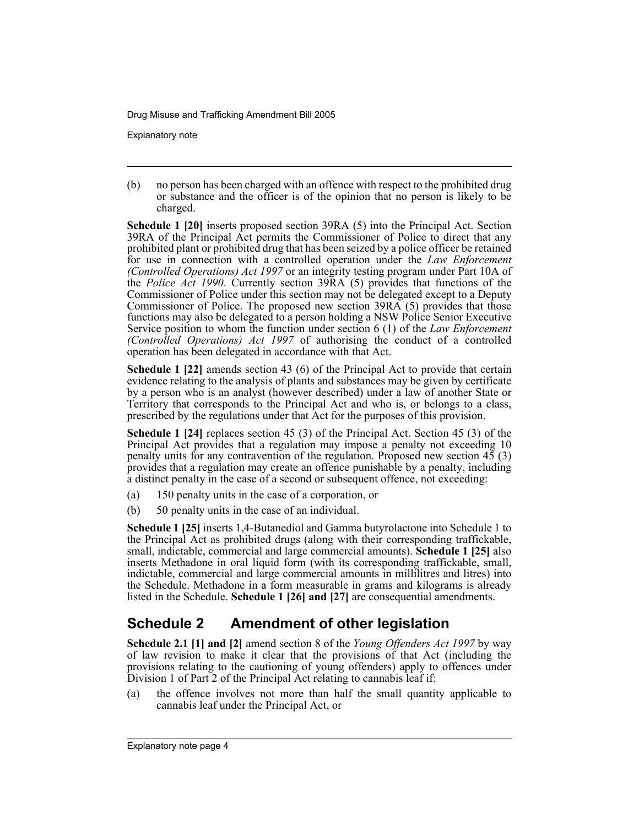Explanatory note

(b) no person has been charged with an offence with respect to the prohibited drug or substance and the officer is of the opinion that no person is likely to be charged.

**Schedule 1 [20]** inserts proposed section 39RA (5) into the Principal Act. Section 39RA of the Principal Act permits the Commissioner of Police to direct that any prohibited plant or prohibited drug that has been seized by a police officer be retained for use in connection with a controlled operation under the *Law Enforcement (Controlled Operations) Act 1997* or an integrity testing program under Part 10A of the *Police Act 1990*. Currently section 39RA (5) provides that functions of the Commissioner of Police under this section may not be delegated except to a Deputy Commissioner of Police. The proposed new section 39RA (5) provides that those functions may also be delegated to a person holding a NSW Police Senior Executive Service position to whom the function under section 6 (1) of the *Law Enforcement (Controlled Operations) Act 1997* of authorising the conduct of a controlled operation has been delegated in accordance with that Act.

**Schedule 1 [22]** amends section 43 (6) of the Principal Act to provide that certain evidence relating to the analysis of plants and substances may be given by certificate by a person who is an analyst (however described) under a law of another State or Territory that corresponds to the Principal Act and who is, or belongs to a class, prescribed by the regulations under that Act for the purposes of this provision.

**Schedule 1 [24]** replaces section 45 (3) of the Principal Act. Section 45 (3) of the Principal Act provides that a regulation may impose a penalty not exceeding 10 penalty units for any contravention of the regulation. Proposed new section  $45(3)$ provides that a regulation may create an offence punishable by a penalty, including a distinct penalty in the case of a second or subsequent offence, not exceeding:

- (a) 150 penalty units in the case of a corporation, or
- (b) 50 penalty units in the case of an individual.

**Schedule 1 [25]** inserts 1,4-Butanediol and Gamma butyrolactone into Schedule 1 to the Principal Act as prohibited drugs (along with their corresponding traffickable, small, indictable, commercial and large commercial amounts). **Schedule 1 [25]** also inserts Methadone in oral liquid form (with its corresponding traffickable, small, indictable, commercial and large commercial amounts in millilitres and litres) into the Schedule. Methadone in a form measurable in grams and kilograms is already listed in the Schedule. **Schedule 1 [26] and [27]** are consequential amendments.

### **Schedule 2 Amendment of other legislation**

**Schedule 2.1 [1] and [2]** amend section 8 of the *Young Offenders Act 1997* by way of law revision to make it clear that the provisions of that Act (including the provisions relating to the cautioning of young offenders) apply to offences under Division 1 of Part 2 of the Principal Act relating to cannabis leaf if:

(a) the offence involves not more than half the small quantity applicable to cannabis leaf under the Principal Act, or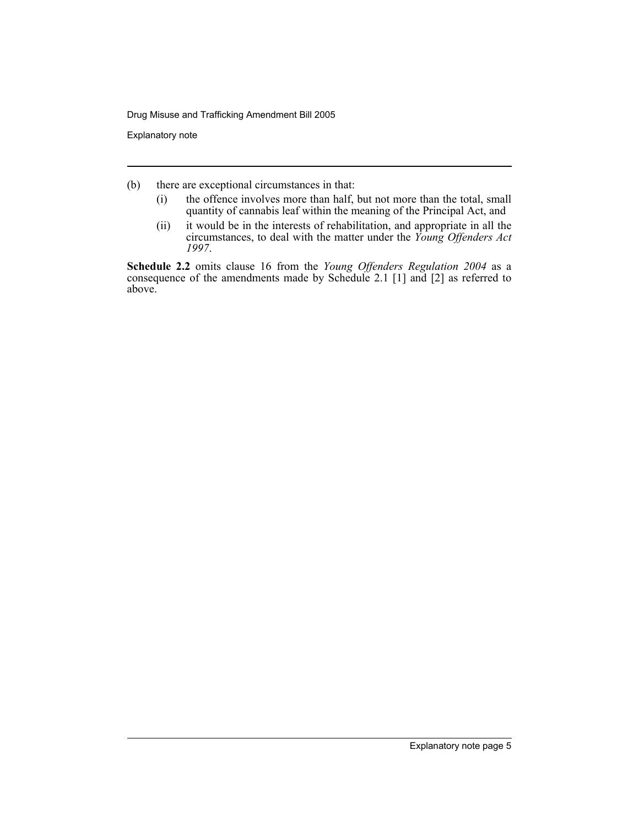Explanatory note

- (b) there are exceptional circumstances in that:
	- (i) the offence involves more than half, but not more than the total, small quantity of cannabis leaf within the meaning of the Principal Act, and
	- (ii) it would be in the interests of rehabilitation, and appropriate in all the circumstances, to deal with the matter under the *Young Offenders Act 1997*.

**Schedule 2.2** omits clause 16 from the *Young Offenders Regulation 2004* as a consequence of the amendments made by Schedule 2.1 [1] and [2] as referred to above.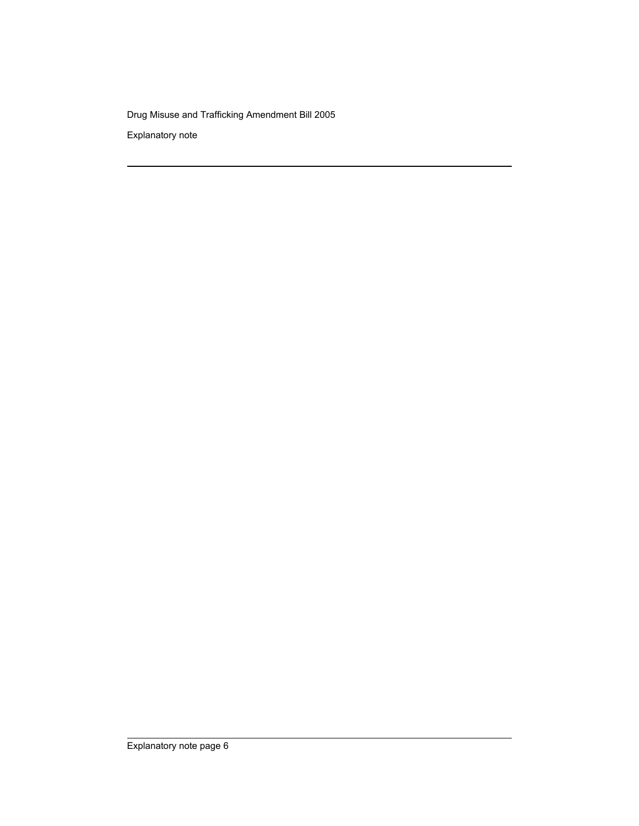Explanatory note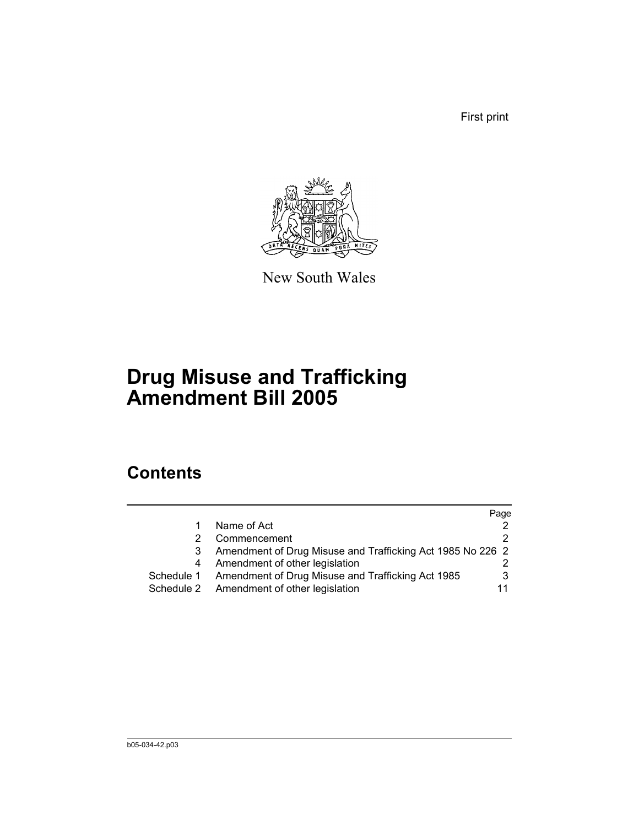First print



New South Wales

## **Drug Misuse and Trafficking Amendment Bill 2005**

## **Contents**

|            |                                                            | Page |
|------------|------------------------------------------------------------|------|
|            | Name of Act                                                |      |
|            | Commencement                                               |      |
| 3          | Amendment of Drug Misuse and Trafficking Act 1985 No 226 2 |      |
|            | Amendment of other legislation                             |      |
| Schedule 1 | Amendment of Drug Misuse and Trafficking Act 1985          |      |
| Schedule 2 | Amendment of other legislation                             | 11   |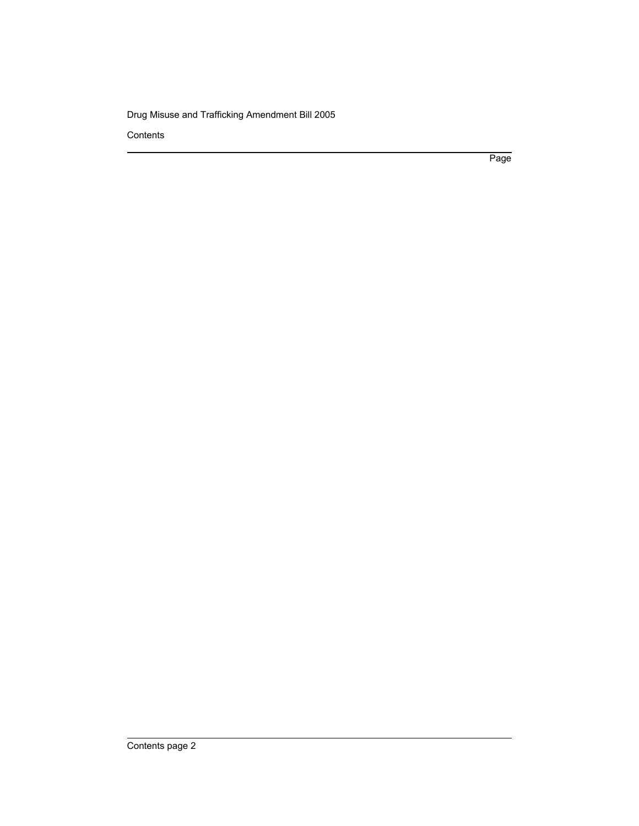**Contents** 

Page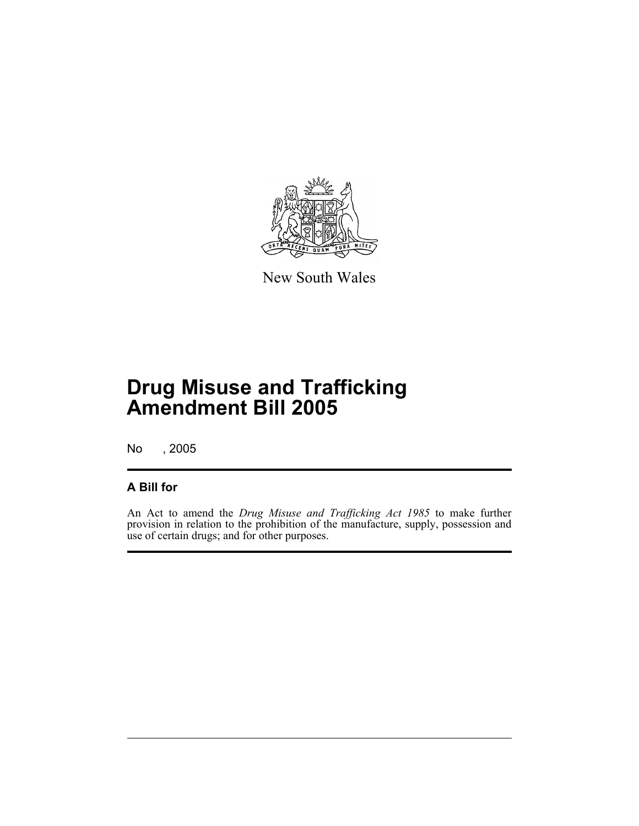

New South Wales

No , 2005

#### **A Bill for**

An Act to amend the *Drug Misuse and Trafficking Act 1985* to make further provision in relation to the prohibition of the manufacture, supply, possession and use of certain drugs; and for other purposes.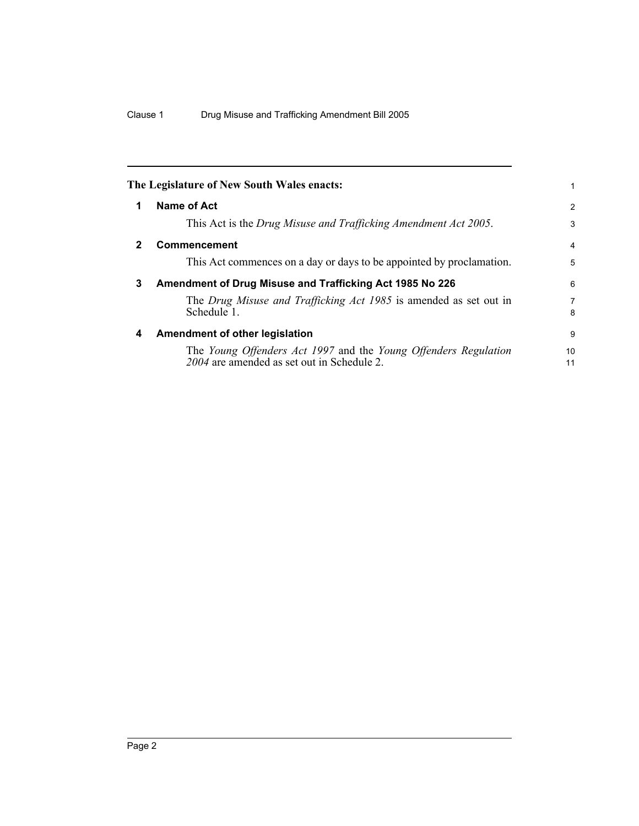<span id="page-9-2"></span><span id="page-9-1"></span><span id="page-9-0"></span>

| <b>Name of Act</b>                                                                                            | $\overline{2}$                             |
|---------------------------------------------------------------------------------------------------------------|--------------------------------------------|
| This Act is the Drug Misuse and Trafficking Amendment Act 2005.                                               | 3                                          |
| <b>Commencement</b>                                                                                           | $\overline{4}$                             |
| This Act commences on a day or days to be appointed by proclamation.                                          | 5                                          |
| Amendment of Drug Misuse and Trafficking Act 1985 No 226                                                      | 6                                          |
| The Drug Misuse and Trafficking Act 1985 is amended as set out in<br>Schedule 1.                              | 7<br>8                                     |
| <b>Amendment of other legislation</b>                                                                         | 9                                          |
| The Young Offenders Act 1997 and the Young Offenders Regulation<br>2004 are amended as set out in Schedule 2. | 10<br>11                                   |
|                                                                                                               | The Legislature of New South Wales enacts: |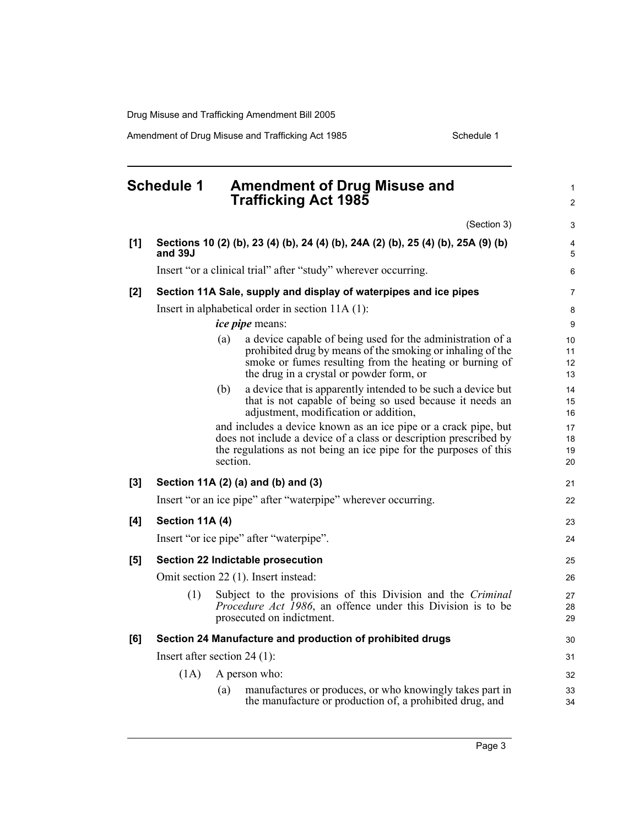Amendment of Drug Misuse and Trafficking Act 1985 Schedule 1

#### <span id="page-10-0"></span>**Schedule 1 Amendment of Drug Misuse and Trafficking Act 1985** (Section 3) **[1] Sections 10 (2) (b), 23 (4) (b), 24 (4) (b), 24A (2) (b), 25 (4) (b), 25A (9) (b) and 39J** Insert "or a clinical trial" after "study" wherever occurring. **[2] Section 11A Sale, supply and display of waterpipes and ice pipes** Insert in alphabetical order in section 11A (1): *ice pipe* means: (a) a device capable of being used for the administration of a prohibited drug by means of the smoking or inhaling of the smoke or fumes resulting from the heating or burning of the drug in a crystal or powder form, or (b) a device that is apparently intended to be such a device but that is not capable of being so used because it needs an adjustment, modification or addition, and includes a device known as an ice pipe or a crack pipe, but does not include a device of a class or description prescribed by the regulations as not being an ice pipe for the purposes of this section. **[3] Section 11A (2) (a) and (b) and (3)** Insert "or an ice pipe" after "waterpipe" wherever occurring. **[4] Section 11A (4)** Insert "or ice pipe" after "waterpipe". **[5] Section 22 Indictable prosecution** Omit section 22 (1). Insert instead: (1) Subject to the provisions of this Division and the *Criminal Procedure Act 1986*, an offence under this Division is to be prosecuted on indictment. **[6] Section 24 Manufacture and production of prohibited drugs** Insert after section 24 (1): (1A) A person who: 17 18 20 21 22 23 24 25 26 27 28 29 30 31 32

(a) manufactures or produces, or who knowingly takes part in the manufacture or production of, a prohibited drug, and

1  $\mathfrak{p}$ 

19

33 34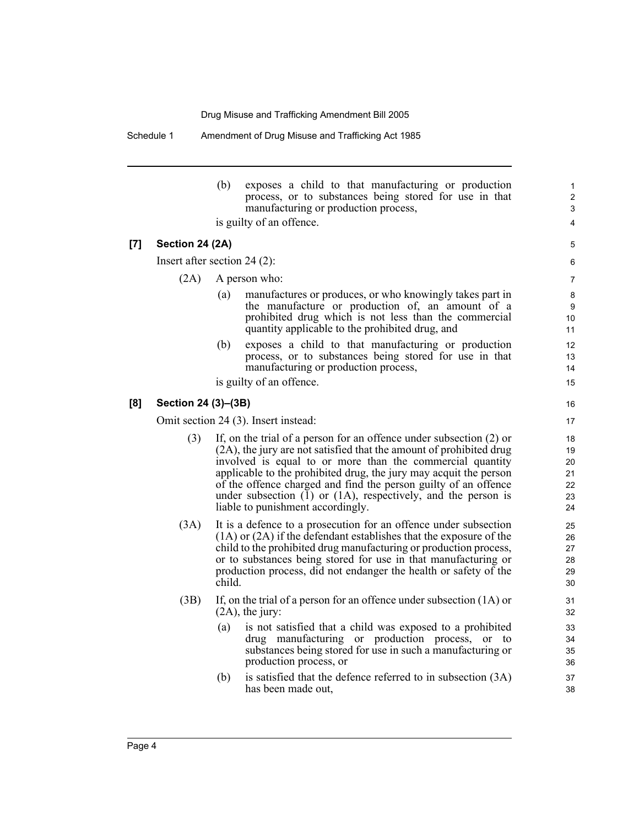|     |                                 | (b)    | exposes a child to that manufacturing or production<br>process, or to substances being stored for use in that<br>manufacturing or production process,                                                                                                                                                                                                                                                                                                        | 1<br>$\overline{c}$<br>3               |
|-----|---------------------------------|--------|--------------------------------------------------------------------------------------------------------------------------------------------------------------------------------------------------------------------------------------------------------------------------------------------------------------------------------------------------------------------------------------------------------------------------------------------------------------|----------------------------------------|
|     |                                 |        | is guilty of an offence.                                                                                                                                                                                                                                                                                                                                                                                                                                     | 4                                      |
| [7] | Section 24 (2A)                 |        |                                                                                                                                                                                                                                                                                                                                                                                                                                                              | 5                                      |
|     | Insert after section 24 $(2)$ : |        |                                                                                                                                                                                                                                                                                                                                                                                                                                                              | 6                                      |
|     | (2A)                            |        | A person who:                                                                                                                                                                                                                                                                                                                                                                                                                                                | $\overline{7}$                         |
|     |                                 | (a)    | manufactures or produces, or who knowingly takes part in<br>the manufacture or production of, an amount of a<br>prohibited drug which is not less than the commercial<br>quantity applicable to the prohibited drug, and                                                                                                                                                                                                                                     | 8<br>9<br>10<br>11                     |
|     |                                 | (b)    | exposes a child to that manufacturing or production<br>process, or to substances being stored for use in that<br>manufacturing or production process,                                                                                                                                                                                                                                                                                                        | 12<br>13<br>14                         |
|     |                                 |        | is guilty of an offence.                                                                                                                                                                                                                                                                                                                                                                                                                                     | 15                                     |
| [8] | Section 24 (3)–(3B)             |        |                                                                                                                                                                                                                                                                                                                                                                                                                                                              | 16                                     |
|     |                                 |        | Omit section 24 (3). Insert instead:                                                                                                                                                                                                                                                                                                                                                                                                                         | 17                                     |
|     | (3)                             |        | If, on the trial of a person for an offence under subsection $(2)$ or<br>(2A), the jury are not satisfied that the amount of prohibited drug<br>involved is equal to or more than the commercial quantity<br>applicable to the prohibited drug, the jury may acquit the person<br>of the offence charged and find the person guilty of an offence<br>under subsection $(1)$ or $(1A)$ , respectively, and the person is<br>liable to punishment accordingly. | 18<br>19<br>20<br>21<br>22<br>23<br>24 |
|     | (3A)                            | child. | It is a defence to a prosecution for an offence under subsection<br>$(1A)$ or $(2A)$ if the defendant establishes that the exposure of the<br>child to the prohibited drug manufacturing or production process,<br>or to substances being stored for use in that manufacturing or<br>production process, did not endanger the health or safety of the                                                                                                        | 25<br>26<br>27<br>28<br>29<br>30       |
|     | (3B)                            |        | If, on the trial of a person for an offence under subsection $(1A)$ or<br>$(2A)$ , the jury:                                                                                                                                                                                                                                                                                                                                                                 | 31<br>32                               |
|     |                                 | (a)    | is not satisfied that a child was exposed to a prohibited<br>drug manufacturing or production process, or to<br>substances being stored for use in such a manufacturing or<br>production process, or                                                                                                                                                                                                                                                         | 33<br>34<br>35<br>36                   |
|     |                                 | (b)    | is satisfied that the defence referred to in subsection (3A)<br>has been made out,                                                                                                                                                                                                                                                                                                                                                                           | 37<br>38                               |
|     |                                 |        |                                                                                                                                                                                                                                                                                                                                                                                                                                                              |                                        |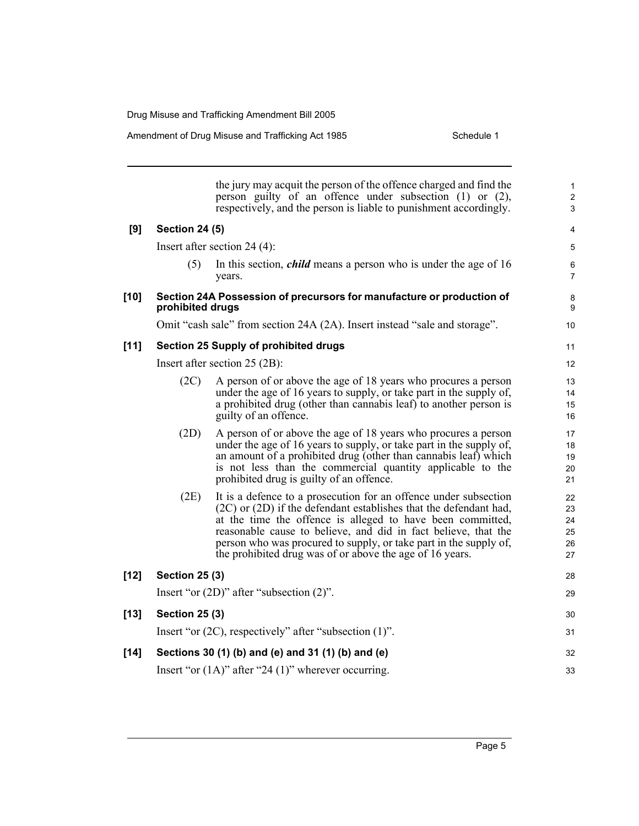Amendment of Drug Misuse and Trafficking Act 1985 Schedule 1

|        |                                                           | the jury may acquit the person of the offence charged and find the<br>person guilty of an offence under subsection (1) or (2),<br>respectively, and the person is liable to punishment accordingly.                                                                                                                                                                                                        | 1<br>$\overline{2}$<br>3         |  |  |  |  |  |
|--------|-----------------------------------------------------------|------------------------------------------------------------------------------------------------------------------------------------------------------------------------------------------------------------------------------------------------------------------------------------------------------------------------------------------------------------------------------------------------------------|----------------------------------|--|--|--|--|--|
| [9]    | <b>Section 24 (5)</b>                                     |                                                                                                                                                                                                                                                                                                                                                                                                            | 4                                |  |  |  |  |  |
|        | Insert after section 24 $(4)$ :                           |                                                                                                                                                                                                                                                                                                                                                                                                            |                                  |  |  |  |  |  |
|        | (5)                                                       | In this section, <i>child</i> means a person who is under the age of 16<br>years.                                                                                                                                                                                                                                                                                                                          | 6<br>$\overline{7}$              |  |  |  |  |  |
| $[10]$ | prohibited drugs                                          | Section 24A Possession of precursors for manufacture or production of                                                                                                                                                                                                                                                                                                                                      | 8<br>9                           |  |  |  |  |  |
|        |                                                           | Omit "cash sale" from section 24A (2A). Insert instead "sale and storage".                                                                                                                                                                                                                                                                                                                                 | 10                               |  |  |  |  |  |
| $[11]$ |                                                           | <b>Section 25 Supply of prohibited drugs</b>                                                                                                                                                                                                                                                                                                                                                               | 11                               |  |  |  |  |  |
|        |                                                           | Insert after section 25 (2B):                                                                                                                                                                                                                                                                                                                                                                              | 12                               |  |  |  |  |  |
|        | (2C)                                                      | A person of or above the age of 18 years who procures a person<br>under the age of 16 years to supply, or take part in the supply of,<br>a prohibited drug (other than cannabis leaf) to another person is<br>guilty of an offence.                                                                                                                                                                        | 13<br>14<br>15<br>16             |  |  |  |  |  |
|        | (2D)                                                      | A person of or above the age of 18 years who procures a person<br>under the age of 16 years to supply, or take part in the supply of,<br>an amount of a prohibited drug (other than cannabis leaf) which<br>is not less than the commercial quantity applicable to the<br>prohibited drug is guilty of an offence.                                                                                         | 17<br>18<br>19<br>20<br>21       |  |  |  |  |  |
|        | (2E)                                                      | It is a defence to a prosecution for an offence under subsection<br>$(2C)$ or $(2D)$ if the defendant establishes that the defendant had,<br>at the time the offence is alleged to have been committed,<br>reasonable cause to believe, and did in fact believe, that the<br>person who was procured to supply, or take part in the supply of,<br>the prohibited drug was of or above the age of 16 years. | 22<br>23<br>24<br>25<br>26<br>27 |  |  |  |  |  |
| $[12]$ | <b>Section 25 (3)</b>                                     |                                                                                                                                                                                                                                                                                                                                                                                                            | 28                               |  |  |  |  |  |
|        |                                                           | Insert "or $(2D)$ " after "subsection $(2)$ ".                                                                                                                                                                                                                                                                                                                                                             | 29                               |  |  |  |  |  |
| $[13]$ | <b>Section 25 (3)</b>                                     |                                                                                                                                                                                                                                                                                                                                                                                                            | 30                               |  |  |  |  |  |
|        |                                                           | Insert "or $(2C)$ , respectively" after "subsection $(1)$ ".                                                                                                                                                                                                                                                                                                                                               | 31                               |  |  |  |  |  |
| $[14]$ |                                                           | Sections 30 (1) (b) and (e) and 31 (1) (b) and (e)                                                                                                                                                                                                                                                                                                                                                         | 32                               |  |  |  |  |  |
|        | Insert "or $(1A)$ " after "24 $(1)$ " wherever occurring. |                                                                                                                                                                                                                                                                                                                                                                                                            |                                  |  |  |  |  |  |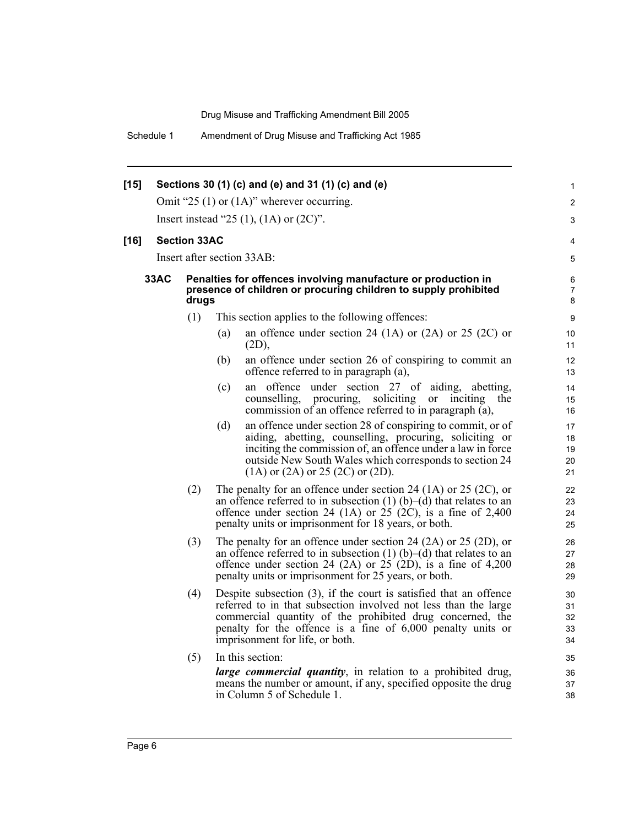| $[15]$      |                            |       |     | Sections 30 (1) (c) and (e) and 31 (1) (c) and (e)                                                                                                                                                                                                                                                     | $\mathbf{1}$               |  |  |
|-------------|----------------------------|-------|-----|--------------------------------------------------------------------------------------------------------------------------------------------------------------------------------------------------------------------------------------------------------------------------------------------------------|----------------------------|--|--|
|             |                            |       |     | Omit "25 (1) or $(1A)$ " wherever occurring.                                                                                                                                                                                                                                                           | $\overline{2}$             |  |  |
|             |                            |       |     | Insert instead "25 (1), (1A) or $(2C)$ ".                                                                                                                                                                                                                                                              | 3                          |  |  |
| $[16]$      | <b>Section 33AC</b>        |       |     |                                                                                                                                                                                                                                                                                                        |                            |  |  |
|             | Insert after section 33AB: |       |     |                                                                                                                                                                                                                                                                                                        |                            |  |  |
| <b>33AC</b> |                            | drugs |     | Penalties for offences involving manufacture or production in<br>presence of children or procuring children to supply prohibited                                                                                                                                                                       | 6<br>$\overline{7}$<br>8   |  |  |
|             |                            | (1)   |     | This section applies to the following offences:                                                                                                                                                                                                                                                        | 9                          |  |  |
|             |                            |       | (a) | an offence under section 24 (1A) or $(2A)$ or $25 (2C)$ or<br>$(2D)$ ,                                                                                                                                                                                                                                 | 10 <sup>°</sup><br>11      |  |  |
|             |                            |       | (b) | an offence under section 26 of conspiring to commit an<br>offence referred to in paragraph (a),                                                                                                                                                                                                        | 12<br>13                   |  |  |
|             |                            |       | (c) | an offence under section 27 of aiding,<br>abetting,<br>counselling,<br>procuring,<br>soliciting<br>or inciting<br>the<br>commission of an offence referred to in paragraph $(a)$ ,                                                                                                                     | 14<br>15<br>16             |  |  |
|             |                            |       | (d) | an offence under section 28 of conspiring to commit, or of<br>aiding, abetting, counselling, procuring, soliciting or<br>inciting the commission of, an offence under a law in force<br>outside New South Wales which corresponds to section 24<br>$(1A)$ or $(2A)$ or $25 (2C)$ or $(2D)$ .           | 17<br>18<br>19<br>20<br>21 |  |  |
|             |                            | (2)   |     | The penalty for an offence under section 24 (1A) or 25 (2C), or<br>an offence referred to in subsection $(1)$ (b)–(d) that relates to an<br>offence under section 24 (1A) or 25 (2C), is a fine of 2,400<br>penalty units or imprisonment for 18 years, or both.                                       | 22<br>23<br>24<br>25       |  |  |
|             |                            | (3)   |     | The penalty for an offence under section 24 $(2A)$ or 25 $(2D)$ , or<br>an offence referred to in subsection $(1)$ $(b)$ – $(d)$ that relates to an<br>offence under section 24 (2A) or $25$ (2D), is a fine of 4,200<br>penalty units or imprisonment for 25 years, or both.                          | 26<br>27<br>28<br>29       |  |  |
|             |                            | (4)   |     | Despite subsection $(3)$ , if the court is satisfied that an offence<br>referred to in that subsection involved not less than the large<br>commercial quantity of the prohibited drug concerned, the<br>penalty for the offence is a fine of 6,000 penalty units or<br>imprisonment for life, or both. | 30<br>31<br>32<br>33<br>34 |  |  |
|             |                            | (5)   |     | In this section:<br><i>large commercial quantity</i> , in relation to a prohibited drug,<br>means the number or amount, if any, specified opposite the drug<br>in Column 5 of Schedule 1.                                                                                                              | 35<br>36<br>37<br>38       |  |  |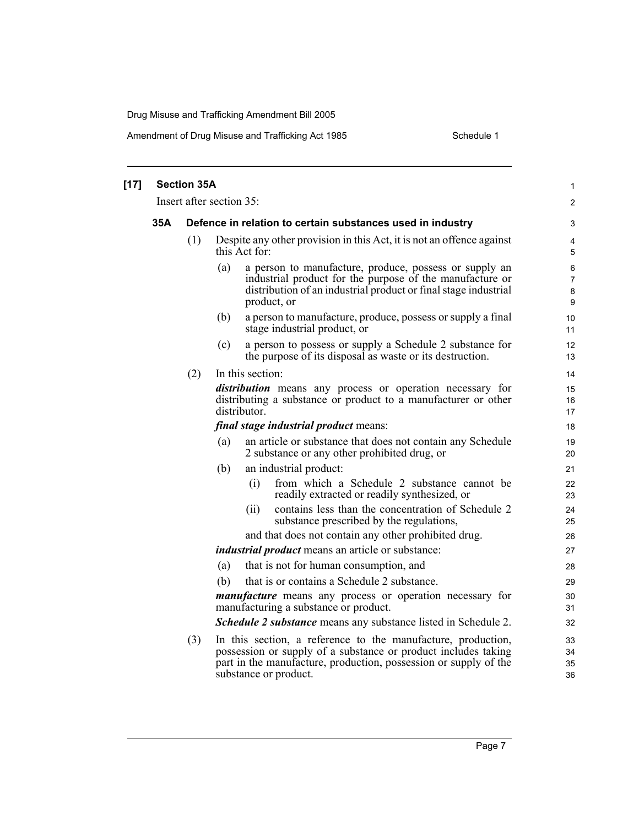Amendment of Drug Misuse and Trafficking Act 1985 Schedule 1

substance or product.

| $[17]$ |                          | <b>Section 35A</b> |                                                                                                                                                                                                             | 1                                   |  |
|--------|--------------------------|--------------------|-------------------------------------------------------------------------------------------------------------------------------------------------------------------------------------------------------------|-------------------------------------|--|
|        | Insert after section 35: |                    |                                                                                                                                                                                                             |                                     |  |
|        | 35A                      |                    | Defence in relation to certain substances used in industry                                                                                                                                                  | 3                                   |  |
|        |                          | (1)                | Despite any other provision in this Act, it is not an offence against<br>this Act for:                                                                                                                      | 4<br>5                              |  |
|        |                          |                    | (a)<br>a person to manufacture, produce, possess or supply an<br>industrial product for the purpose of the manufacture or<br>distribution of an industrial product or final stage industrial<br>product, or | 6<br>$\overline{7}$<br>$\bf 8$<br>9 |  |
|        |                          |                    | (b)<br>a person to manufacture, produce, possess or supply a final<br>stage industrial product, or                                                                                                          | 10<br>11                            |  |
|        |                          |                    | a person to possess or supply a Schedule 2 substance for<br>(c)<br>the purpose of its disposal as waste or its destruction.                                                                                 | 12<br>13                            |  |
|        |                          | (2)                | In this section:                                                                                                                                                                                            | 14                                  |  |
|        |                          |                    | <i>distribution</i> means any process or operation necessary for<br>distributing a substance or product to a manufacturer or other<br>distributor.                                                          | 15<br>16<br>17                      |  |
|        |                          |                    | <i>final stage industrial product means:</i>                                                                                                                                                                | 18                                  |  |
|        |                          |                    | (a)<br>an article or substance that does not contain any Schedule<br>2 substance or any other prohibited drug, or                                                                                           | 19<br>20                            |  |
|        |                          |                    | an industrial product:<br>(b)                                                                                                                                                                               | 21                                  |  |
|        |                          |                    | from which a Schedule 2 substance cannot be<br>(i)<br>readily extracted or readily synthesized, or                                                                                                          | 22<br>23                            |  |
|        |                          |                    | contains less than the concentration of Schedule 2<br>(ii)<br>substance prescribed by the regulations,                                                                                                      | 24<br>25                            |  |
|        |                          |                    | and that does not contain any other prohibited drug.                                                                                                                                                        | 26                                  |  |
|        |                          |                    | <i>industrial product</i> means an article or substance:                                                                                                                                                    | 27                                  |  |
|        |                          |                    | that is not for human consumption, and<br>(a)                                                                                                                                                               | 28                                  |  |
|        |                          |                    | that is or contains a Schedule 2 substance.<br>(b)                                                                                                                                                          | 29                                  |  |
|        |                          |                    | <i>manufacture</i> means any process or operation necessary for<br>manufacturing a substance or product.                                                                                                    | 30<br>31                            |  |
|        |                          |                    | <b>Schedule 2 substance</b> means any substance listed in Schedule 2.                                                                                                                                       | 32                                  |  |
|        |                          | (3)                | In this section, a reference to the manufacture, production,<br>possession or supply of a substance or product includes taking<br>part in the manufacture, production, possession or supply of the          | 33<br>34<br>35                      |  |

36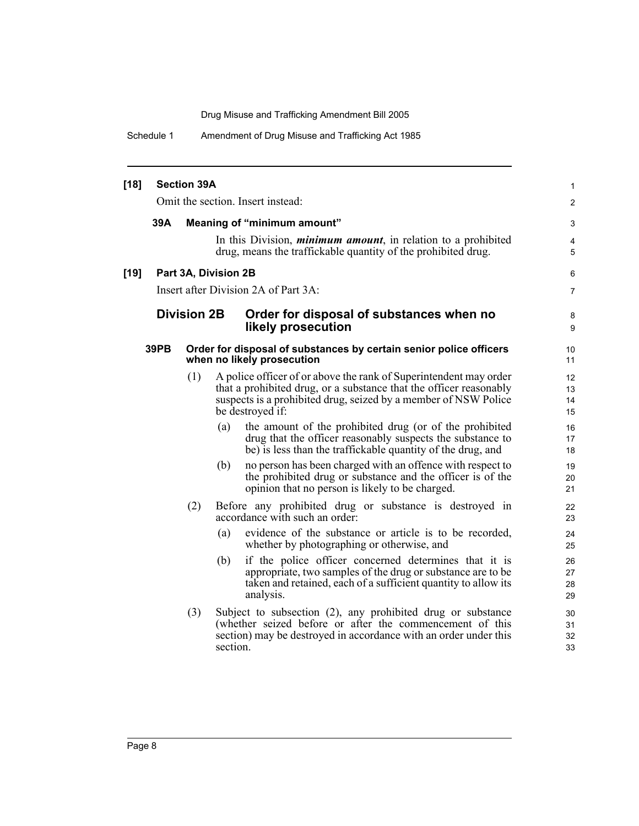| $[18]$ | <b>Section 39A</b>                |                    |                      |                                                                                                                                                                                                                                |                      |  |  |
|--------|-----------------------------------|--------------------|----------------------|--------------------------------------------------------------------------------------------------------------------------------------------------------------------------------------------------------------------------------|----------------------|--|--|
|        | Omit the section. Insert instead: |                    |                      |                                                                                                                                                                                                                                |                      |  |  |
|        | 39A                               |                    |                      | Meaning of "minimum amount"                                                                                                                                                                                                    | 3                    |  |  |
|        |                                   |                    |                      | In this Division, <i>minimum amount</i> , in relation to a prohibited<br>drug, means the traffickable quantity of the prohibited drug.                                                                                         | 4<br>5               |  |  |
| $[19]$ |                                   |                    | Part 3A, Division 2B |                                                                                                                                                                                                                                | 6                    |  |  |
|        |                                   |                    |                      | Insert after Division 2A of Part 3A:                                                                                                                                                                                           | $\overline{7}$       |  |  |
|        |                                   | <b>Division 2B</b> |                      | Order for disposal of substances when no<br>likely prosecution                                                                                                                                                                 | 8<br>9               |  |  |
|        | 39PB                              |                    |                      | Order for disposal of substances by certain senior police officers<br>when no likely prosecution                                                                                                                               | 10<br>11             |  |  |
|        |                                   | (1)                |                      | A police officer of or above the rank of Superintendent may order<br>that a prohibited drug, or a substance that the officer reasonably<br>suspects is a prohibited drug, seized by a member of NSW Police<br>be destroyed if: | 12<br>13<br>14<br>15 |  |  |
|        |                                   |                    | (a)                  | the amount of the prohibited drug (or of the prohibited<br>drug that the officer reasonably suspects the substance to<br>be) is less than the traffickable quantity of the drug, and                                           | 16<br>17<br>18       |  |  |
|        |                                   |                    | (b)                  | no person has been charged with an offence with respect to<br>the prohibited drug or substance and the officer is of the<br>opinion that no person is likely to be charged.                                                    | 19<br>20<br>21       |  |  |
|        |                                   | (2)                |                      | Before any prohibited drug or substance is destroyed in<br>accordance with such an order:                                                                                                                                      | 22<br>23             |  |  |
|        |                                   |                    | (a)                  | evidence of the substance or article is to be recorded,<br>whether by photographing or otherwise, and                                                                                                                          | 24<br>25             |  |  |
|        |                                   |                    | (b)                  | if the police officer concerned determines that it is<br>appropriate, two samples of the drug or substance are to be<br>taken and retained, each of a sufficient quantity to allow its<br>analysis.                            | 26<br>27<br>28<br>29 |  |  |
|        |                                   | (3)                | section.             | Subject to subsection (2), any prohibited drug or substance<br>(whether seized before or after the commencement of this<br>section) may be destroyed in accordance with an order under this                                    | 30<br>31<br>32<br>33 |  |  |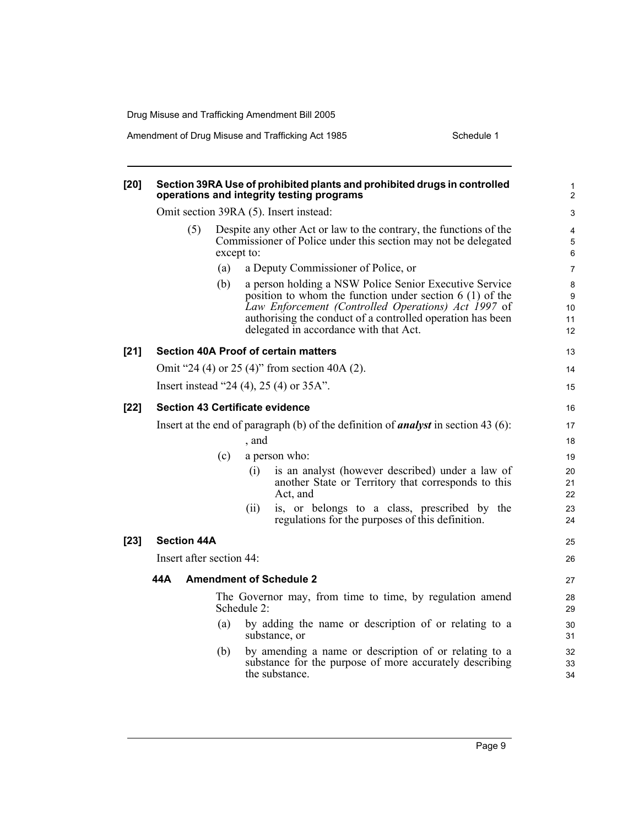Amendment of Drug Misuse and Trafficking Act 1985 Schedule 1

| $[20]$ |                                                                                           |     |                                                                                                                                                    | Section 39RA Use of prohibited plants and prohibited drugs in controlled<br>operations and integrity testing programs                                                                                                                                                              | $\mathbf{1}$<br>2        |  |  |
|--------|-------------------------------------------------------------------------------------------|-----|----------------------------------------------------------------------------------------------------------------------------------------------------|------------------------------------------------------------------------------------------------------------------------------------------------------------------------------------------------------------------------------------------------------------------------------------|--------------------------|--|--|
|        |                                                                                           |     |                                                                                                                                                    | Omit section 39RA (5). Insert instead:                                                                                                                                                                                                                                             | 3                        |  |  |
|        | (5)                                                                                       |     | Despite any other Act or law to the contrary, the functions of the<br>Commissioner of Police under this section may not be delegated<br>except to: |                                                                                                                                                                                                                                                                                    |                          |  |  |
|        |                                                                                           | (a) |                                                                                                                                                    | a Deputy Commissioner of Police, or                                                                                                                                                                                                                                                | $\overline{7}$           |  |  |
|        |                                                                                           | (b) |                                                                                                                                                    | a person holding a NSW Police Senior Executive Service<br>position to whom the function under section $6(1)$ of the<br>Law Enforcement (Controlled Operations) Act 1997 of<br>authorising the conduct of a controlled operation has been<br>delegated in accordance with that Act. | 8<br>9<br>10<br>11<br>12 |  |  |
| $[21]$ |                                                                                           |     |                                                                                                                                                    | <b>Section 40A Proof of certain matters</b>                                                                                                                                                                                                                                        | 13                       |  |  |
|        |                                                                                           |     |                                                                                                                                                    | Omit "24 (4) or 25 (4)" from section 40A (2).                                                                                                                                                                                                                                      | 14                       |  |  |
|        |                                                                                           |     |                                                                                                                                                    | Insert instead "24 (4), 25 (4) or $35A$ ".                                                                                                                                                                                                                                         | 15                       |  |  |
| $[22]$ |                                                                                           |     |                                                                                                                                                    | <b>Section 43 Certificate evidence</b>                                                                                                                                                                                                                                             | 16                       |  |  |
|        | Insert at the end of paragraph (b) of the definition of <b>analyst</b> in section 43 (6): |     |                                                                                                                                                    |                                                                                                                                                                                                                                                                                    |                          |  |  |
|        |                                                                                           |     | , and                                                                                                                                              |                                                                                                                                                                                                                                                                                    |                          |  |  |
|        |                                                                                           | (c) |                                                                                                                                                    | a person who:                                                                                                                                                                                                                                                                      | 19                       |  |  |
|        |                                                                                           |     | (i)                                                                                                                                                | is an analyst (however described) under a law of<br>another State or Territory that corresponds to this<br>Act, and                                                                                                                                                                | 20<br>21<br>22           |  |  |
|        |                                                                                           |     | (ii)                                                                                                                                               | is, or belongs to a class, prescribed by the<br>regulations for the purposes of this definition.                                                                                                                                                                                   | 23<br>24                 |  |  |
| $[23]$ | <b>Section 44A</b>                                                                        |     |                                                                                                                                                    |                                                                                                                                                                                                                                                                                    | 25                       |  |  |
|        | Insert after section 44:                                                                  |     |                                                                                                                                                    |                                                                                                                                                                                                                                                                                    |                          |  |  |
|        | 44 A                                                                                      |     |                                                                                                                                                    | <b>Amendment of Schedule 2</b>                                                                                                                                                                                                                                                     | 27                       |  |  |
|        |                                                                                           |     | The Governor may, from time to time, by regulation amend<br>Schedule 2:                                                                            |                                                                                                                                                                                                                                                                                    |                          |  |  |
|        |                                                                                           | (a) |                                                                                                                                                    | by adding the name or description of or relating to a<br>substance, or                                                                                                                                                                                                             | 30<br>31                 |  |  |
|        |                                                                                           | (b) |                                                                                                                                                    | by amending a name or description of or relating to a<br>substance for the purpose of more accurately describing<br>the substance.                                                                                                                                                 | 32<br>33<br>34           |  |  |
|        |                                                                                           |     |                                                                                                                                                    |                                                                                                                                                                                                                                                                                    |                          |  |  |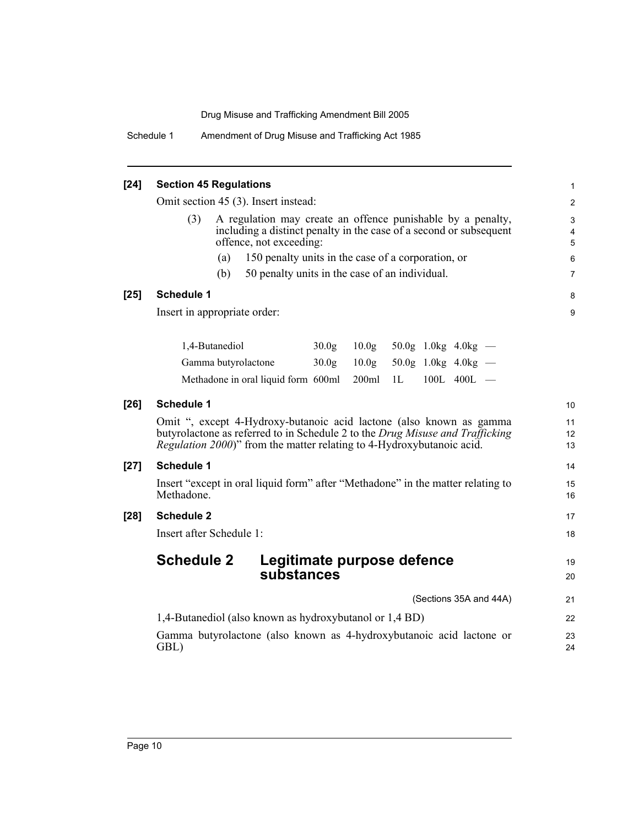| $[24]$ | <b>Section 45 Regulations</b>                                                                                                                                                                                                         |                |  |  |  |  |  |  |  |
|--------|---------------------------------------------------------------------------------------------------------------------------------------------------------------------------------------------------------------------------------------|----------------|--|--|--|--|--|--|--|
|        | Omit section 45 (3). Insert instead:                                                                                                                                                                                                  | $\overline{2}$ |  |  |  |  |  |  |  |
|        | A regulation may create an offence punishable by a penalty,<br>(3)<br>including a distinct penalty in the case of a second or subsequent<br>offence, not exceeding:                                                                   |                |  |  |  |  |  |  |  |
|        | 150 penalty units in the case of a corporation, or<br>(a)                                                                                                                                                                             | $6\phantom{a}$ |  |  |  |  |  |  |  |
|        | 50 penalty units in the case of an individual.<br>(b)                                                                                                                                                                                 | $\overline{7}$ |  |  |  |  |  |  |  |
| $[25]$ | <b>Schedule 1</b>                                                                                                                                                                                                                     | 8              |  |  |  |  |  |  |  |
|        | Insert in appropriate order:                                                                                                                                                                                                          | 9              |  |  |  |  |  |  |  |
|        |                                                                                                                                                                                                                                       |                |  |  |  |  |  |  |  |
|        | 1,4-Butanediol<br>30.0 <sub>g</sub><br>10.0 <sub>g</sub><br>$50.0g$ 1.0kg 4.0kg –                                                                                                                                                     |                |  |  |  |  |  |  |  |
|        | Gamma butyrolactone<br>10.0 <sub>g</sub><br>$50.0g$ 1.0kg $4.0kg$ -<br>30.0 <sub>g</sub>                                                                                                                                              |                |  |  |  |  |  |  |  |
|        | Methadone in oral liquid form 600ml<br>200ml<br>1L<br>$100L$ 400L -                                                                                                                                                                   |                |  |  |  |  |  |  |  |
| $[26]$ | <b>Schedule 1</b>                                                                                                                                                                                                                     | 10             |  |  |  |  |  |  |  |
|        | Omit ", except 4-Hydroxy-butanoic acid lactone (also known as gamma<br>butyrolactone as referred to in Schedule 2 to the Drug Misuse and Trafficking<br><i>Regulation 2000</i> )" from the matter relating to 4-Hydroxybutanoic acid. |                |  |  |  |  |  |  |  |
| $[27]$ | <b>Schedule 1</b>                                                                                                                                                                                                                     | 14             |  |  |  |  |  |  |  |
|        | Insert "except in oral liquid form" after "Methadone" in the matter relating to<br>Methadone.                                                                                                                                         |                |  |  |  |  |  |  |  |
| $[28]$ | <b>Schedule 2</b>                                                                                                                                                                                                                     | 17             |  |  |  |  |  |  |  |
|        | Insert after Schedule 1:                                                                                                                                                                                                              | 18             |  |  |  |  |  |  |  |
|        | <b>Schedule 2</b><br>Legitimate purpose defence<br>substances                                                                                                                                                                         | 19<br>20       |  |  |  |  |  |  |  |
|        | (Sections 35A and 44A)                                                                                                                                                                                                                | 21             |  |  |  |  |  |  |  |
|        | 1,4-Butanediol (also known as hydroxybutanol or 1,4 BD)                                                                                                                                                                               | 22             |  |  |  |  |  |  |  |
|        | Gamma butyrolactone (also known as 4-hydroxybutanoic acid lactone or<br>GBL)                                                                                                                                                          |                |  |  |  |  |  |  |  |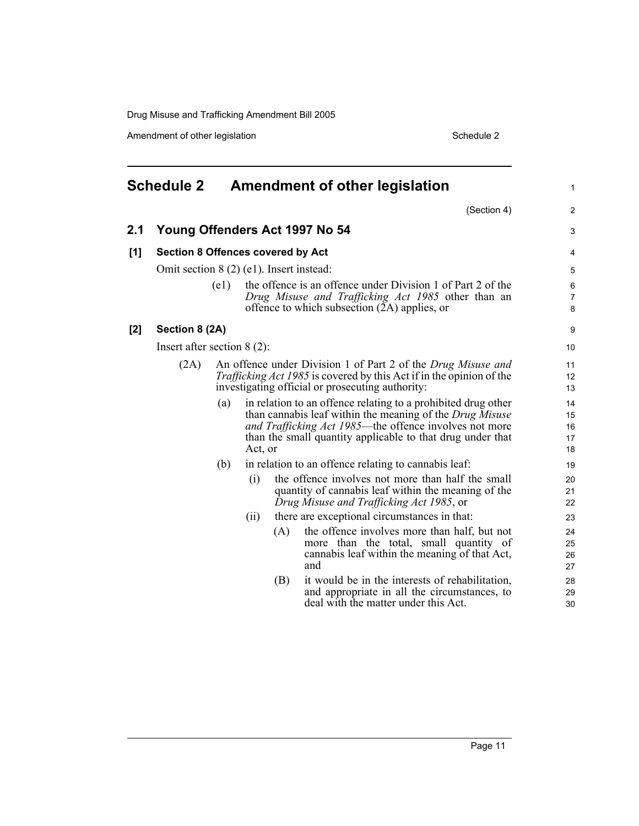Amendment of other legislation Schedule 2

<span id="page-18-0"></span>

|     | <b>Schedule 2</b>                         |      |         | <b>Amendment of other legislation</b>                                                                                                                                                                                                             | 1                          |
|-----|-------------------------------------------|------|---------|---------------------------------------------------------------------------------------------------------------------------------------------------------------------------------------------------------------------------------------------------|----------------------------|
|     |                                           |      |         | (Section 4)                                                                                                                                                                                                                                       | $\overline{c}$             |
| 2.1 |                                           |      |         | Young Offenders Act 1997 No 54                                                                                                                                                                                                                    | 3                          |
| [1] | <b>Section 8 Offences covered by Act</b>  |      |         |                                                                                                                                                                                                                                                   | 4                          |
|     | Omit section $8(2)$ (e1). Insert instead: |      |         |                                                                                                                                                                                                                                                   | 5                          |
|     |                                           | (e1) |         | the offence is an offence under Division 1 of Part 2 of the<br>Drug Misuse and Trafficking Act 1985 other than an<br>offence to which subsection (2A) applies, or                                                                                 | 6<br>7<br>8                |
| [2] | Section 8 (2A)                            |      |         |                                                                                                                                                                                                                                                   | 9                          |
|     | Insert after section $8(2)$ :             |      |         |                                                                                                                                                                                                                                                   | 10                         |
|     | (2A)                                      |      |         | An offence under Division 1 of Part 2 of the Drug Misuse and<br><i>Trafficking Act 1985</i> is covered by this Act if in the opinion of the<br>investigating official or prosecuting authority:                                                   | 11<br>12<br>13             |
|     |                                           | (a)  | Act, or | in relation to an offence relating to a prohibited drug other<br>than cannabis leaf within the meaning of the Drug Misuse<br>and Trafficking Act 1985—the offence involves not more<br>than the small quantity applicable to that drug under that | 14<br>15<br>16<br>17<br>18 |
|     |                                           | (b)  |         | in relation to an offence relating to cannabis leaf:                                                                                                                                                                                              | 19                         |
|     |                                           |      | (i)     | the offence involves not more than half the small<br>quantity of cannabis leaf within the meaning of the<br>Drug Misuse and Trafficking Act 1985, or                                                                                              | 20<br>21<br>22             |
|     |                                           |      | (ii)    | there are exceptional circumstances in that:                                                                                                                                                                                                      | 23                         |
|     |                                           |      | (A)     | the offence involves more than half, but not<br>more than the total, small quantity of<br>cannabis leaf within the meaning of that Act,<br>and                                                                                                    | 24<br>25<br>26<br>27       |
|     |                                           |      | (B)     | it would be in the interests of rehabilitation,<br>and appropriate in all the circumstances, to<br>deal with the matter under this Act.                                                                                                           | 28<br>29<br>30             |